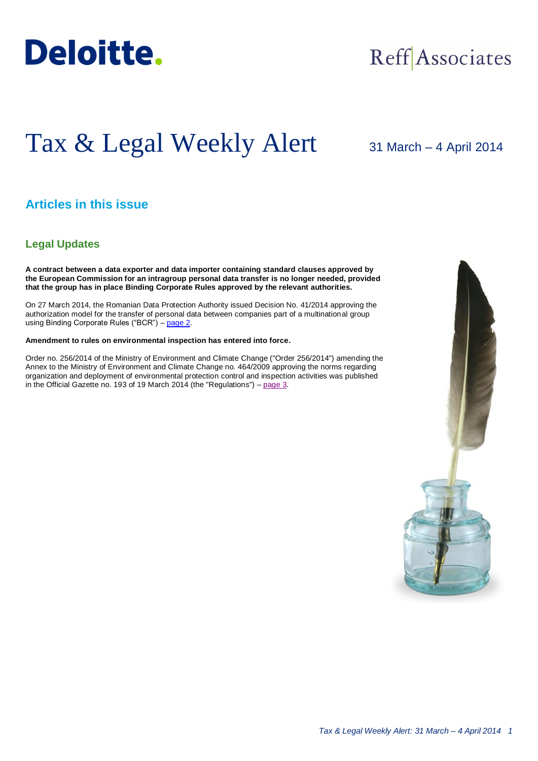

## Reff Associates

# Tax & Legal Weekly Alert

31 March – 4 April 2014

## **Articles in this issue**

## **Legal Updates**

**A contract between a data exporter and data importer containing standard clauses approved by the European Commission for an intragroup personal data transfer is no longer needed, provided that the group has in place Binding Corporate Rules approved by the relevant authorities.**

On 27 March 2014, the Romanian Data Protection Authority issued Decision No. 41/2014 approving the authorization model for the transfer of personal data between companies part of a multinational group using Binding Corporate Rules ("BCR") – [page 2.](#page-1-0)

#### **Amendment to rules on environmental inspection has entered into force.**

Order no. 256/2014 of the Ministry of Environment and Climate Change ("Order 256/2014") amending the Annex to the Ministry of Environment and Climate Change no. 464/2009 approving the norms regarding organization and deployment of environmental protection control and inspection activities was published in the Official Gazette no. 193 of 19 March 2014 (the "Regulations") – page  $3$ .

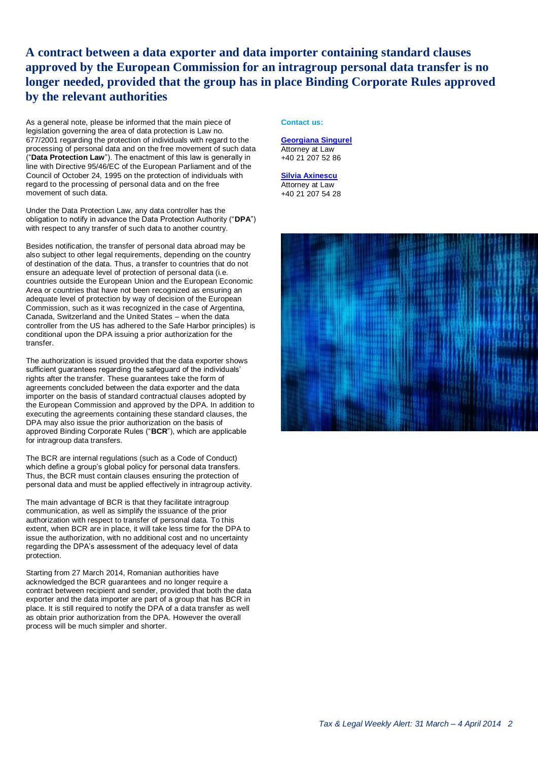## <span id="page-1-0"></span>**A contract between a data exporter and data importer containing standard clauses approved by the European Commission for an intragroup personal data transfer is no longer needed, provided that the group has in place Binding Corporate Rules approved by the relevant authorities**

As a general note, please be informed that the main piece of legislation governing the area of data protection is Law no. 677/2001 regarding the protection of individuals with regard to the processing of personal data and on the free movement of such data ("**Data Protection Law**"). The enactment of this law is generally in line with Directive 95/46/EC of the European Parliament and of the Council of October 24, 1995 on the protection of individuals with regard to the processing of personal data and on the free movement of such data.

Under the Data Protection Law, any data controller has the obligation to notify in advance the Data Protection Authority ("**DPA**") with respect to any transfer of such data to another country.

Besides notification, the transfer of personal data abroad may be also subject to other legal requirements, depending on the country of destination of the data. Thus, a transfer to countries that do not ensure an adequate level of protection of personal data (i.e. countries outside the European Union and the European Economic Area or countries that have not been recognized as ensuring an adequate level of protection by way of decision of the European Commission, such as it was recognized in the case of Argentina, Canada, Switzerland and the United States – when the data controller from the US has adhered to the Safe Harbor principles) is conditional upon the DPA issuing a prior authorization for the transfer.

The authorization is issued provided that the data exporter shows sufficient guarantees regarding the safeguard of the individuals' rights after the transfer. These guarantees take the form of agreements concluded between the data exporter and the data importer on the basis of standard contractual clauses adopted by the European Commission and approved by the DPA. In addition to executing the agreements containing these standard clauses, the DPA may also issue the prior authorization on the basis of approved Binding Corporate Rules ("**BCR**"), which are applicable for intragroup data transfers.

The BCR are internal regulations (such as a Code of Conduct) which define a group's global policy for personal data transfers. Thus, the BCR must contain clauses ensuring the protection of personal data and must be applied effectively in intragroup activity.

The main advantage of BCR is that they facilitate intragroup communication, as well as simplify the issuance of the prior authorization with respect to transfer of personal data. To this extent, when BCR are in place, it will take less time for the DPA to issue the authorization, with no additional cost and no uncertainty regarding the DPA's assessment of the adequacy level of data protection.

Starting from 27 March 2014, Romanian authorities have acknowledged the BCR guarantees and no longer require a contract between recipient and sender, provided that both the data exporter and the data importer are part of a group that has BCR in place. It is still required to notify the DPA of a data transfer as well as obtain prior authorization from the DPA. However the overall process will be much simpler and shorter.

### **Contact us:**

**[Georgiana Singurel](mailto:gsingurel@deloittece.com)** Attorney at Law +40 21 207 52 86

**[Silvia Axinescu](mailto:maxinescu@deloittece.com)** Attorney at Law +40 21 207 54 28

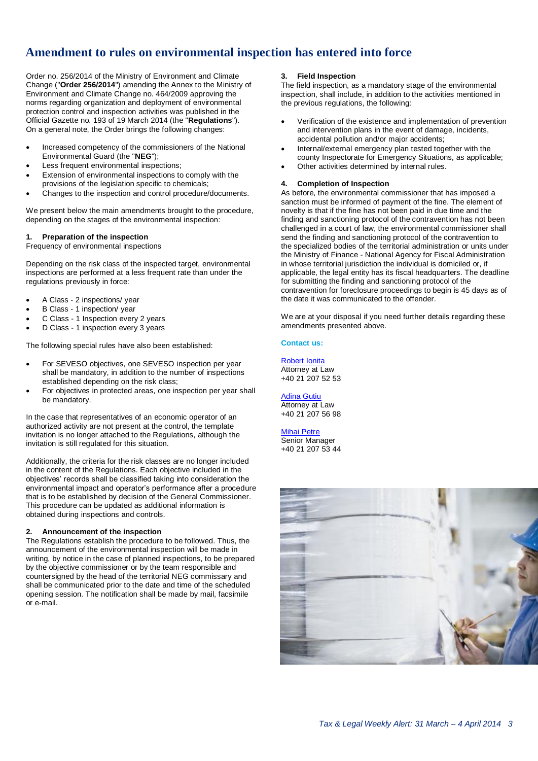## **Amendment to rules on environmental inspection has entered into force**

Order no. 256/2014 of the Ministry of Environment and Climate Change ("**Order 256/2014**") amending the Annex to the Ministry of Environment and Climate Change no. 464/2009 approving the norms regarding organization and deployment of environmental protection control and inspection activities was published in the Official Gazette no. 193 of 19 March 2014 (the "**Regulations**"). On a general note, the Order brings the following changes:

- Increased competency of the commissioners of the National Environmental Guard (the "**NEG**");
- Less frequent environmental inspections;
- Extension of environmental inspections to comply with the provisions of the legislation specific to chemicals;
- Changes to the inspection and control procedure/documents.

We present below the main amendments brought to the procedure, depending on the stages of the environmental inspection:

#### **1. Preparation of the inspection**

Frequency of environmental inspections

Depending on the risk class of the inspected target, environmental inspections are performed at a less frequent rate than under the regulations previously in force:

- A Class 2 inspections/ year
- B Class 1 inspection/ year
- C Class 1 Inspection every 2 years
- D Class 1 inspection every 3 years

The following special rules have also been established:

- For SEVESO objectives, one SEVESO inspection per year shall be mandatory, in addition to the number of inspections established depending on the risk class;
- For objectives in protected areas, one inspection per year shall be mandatory.

In the case that representatives of an economic operator of an authorized activity are not present at the control, the template invitation is no longer attached to the Regulations, although the invitation is still regulated for this situation.

Additionally, the criteria for the risk classes are no longer included in the content of the Regulations. Each objective included in the objectives' records shall be classified taking into consideration the environmental impact and operator's performance after a procedure that is to be established by decision of the General Commissioner. This procedure can be updated as additional information is obtained during inspections and controls.

## **2. Announcement of the inspection**

The Regulations establish the procedure to be followed. Thus, the announcement of the environmental inspection will be made in writing, by notice in the case of planned inspections, to be prepared by the objective commissioner or by the team responsible and countersigned by the head of the territorial NEG commissary and shall be communicated prior to the date and time of the scheduled opening session. The notification shall be made by mail, facsimile or e-mail.

### <span id="page-2-0"></span>**3. Field Inspection**

The field inspection, as a mandatory stage of the environmental inspection, shall include, in addition to the activities mentioned in the previous regulations, the following:

- Verification of the existence and implementation of prevention and intervention plans in the event of damage, incidents, accidental pollution and/or major accidents;
- Internal/external emergency plan tested together with the county Inspectorate for Emergency Situations, as applicable;
- Other activities determined by internal rules.

## **4. Completion of Inspection**

As before, the environmental commissioner that has imposed a sanction must be informed of payment of the fine. The element of novelty is that if the fine has not been paid in due time and the finding and sanctioning protocol of the contravention has not been challenged in a court of law, the environmental commissioner shall send the finding and sanctioning protocol of the contravention to the specialized bodies of the territorial administration or units under the Ministry of Finance - National Agency for Fiscal Administration in whose territorial jurisdiction the individual is domiciled or, if applicable, the legal entity has its fiscal headquarters. The deadline for submitting the finding and sanctioning protocol of the contravention for foreclosure proceedings to begin is 45 days as of the date it was communicated to the offender.

We are at your disposal if you need further details regarding these amendments presented above.

### **Contact us:**

[Robert Ionita](mailto:rionita@deloittece.com) Attorney at Law +40 21 207 52 53

[Adina Gutiu](mailto:agutiu@deloittece.com) Attorney at Law +40 21 207 56 98

[Mihai Petre](mailto:mipetre@deloittece.com) Senior Manager +40 21 207 53 44